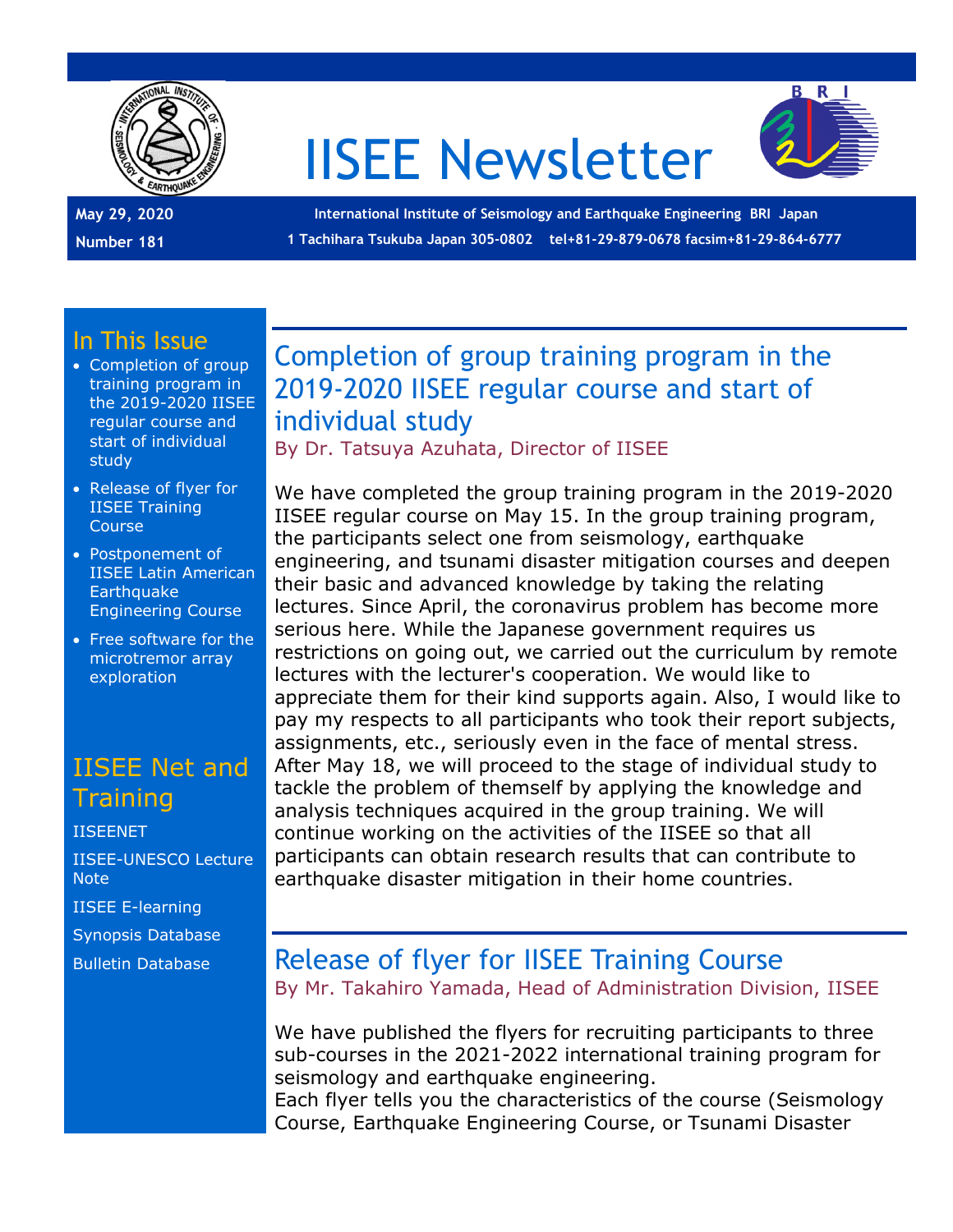

# IISEE Newsletter



**May 29, 2020 Number 181**

**International Institute of Seismology and Earthquake Engineering BRI Japan 1 Tachihara Tsukuba Japan 305-0802 tel+81-29-879-0678 facsim+81-29-864-6777**

#### In This Issue

- Completion of group training program in the 2019-2020 IISEE regular course and start of individual study
- Release of flyer for IISEE Training Course
- Postponement of IISEE Latin American **Earthquake** Engineering Course
- Free software for the microtremor array exploration

#### IISEE Net and **Training**

[IISEENET](http://iisee.kenken.go.jp/net/) [IISEE-UNESCO Lecture](http://iisee/lna/)  **[Note](http://iisee/lna/)** [IISEE E-learning](http://iisee/el/) [Synopsis Database](http://iisee/syndb/) [Bulletin Database](http://iisee/bltndb/)

### Completion of group training program in the 2019-2020 IISEE regular course and start of individual study

By Dr. Tatsuya Azuhata, Director of IISEE

We have completed the group training program in the 2019-2020 IISEE regular course on May 15. In the group training program, the participants select one from seismology, earthquake engineering, and tsunami disaster mitigation courses and deepen their basic and advanced knowledge by taking the relating lectures. Since April, the coronavirus problem has become more serious here. While the Japanese government requires us restrictions on going out, we carried out the curriculum by remote lectures with the lecturer's cooperation. We would like to appreciate them for their kind supports again. Also, I would like to pay my respects to all participants who took their report subjects, assignments, etc., seriously even in the face of mental stress. After May 18, we will proceed to the stage of individual study to tackle the problem of themself by applying the knowledge and analysis techniques acquired in the group training. We will continue working on the activities of the IISEE so that all participants can obtain research results that can contribute to earthquake disaster mitigation in their home countries.

# Release of flyer for IISEE Training Course

By Mr. Takahiro Yamada, Head of Administration Division, IISEE

We have published the flyers for recruiting participants to three sub-courses in the 2021-2022 international training program for seismology and earthquake engineering.

Each flyer tells you the characteristics of the course (Seismology Course, Earthquake Engineering Course, or Tsunami Disaster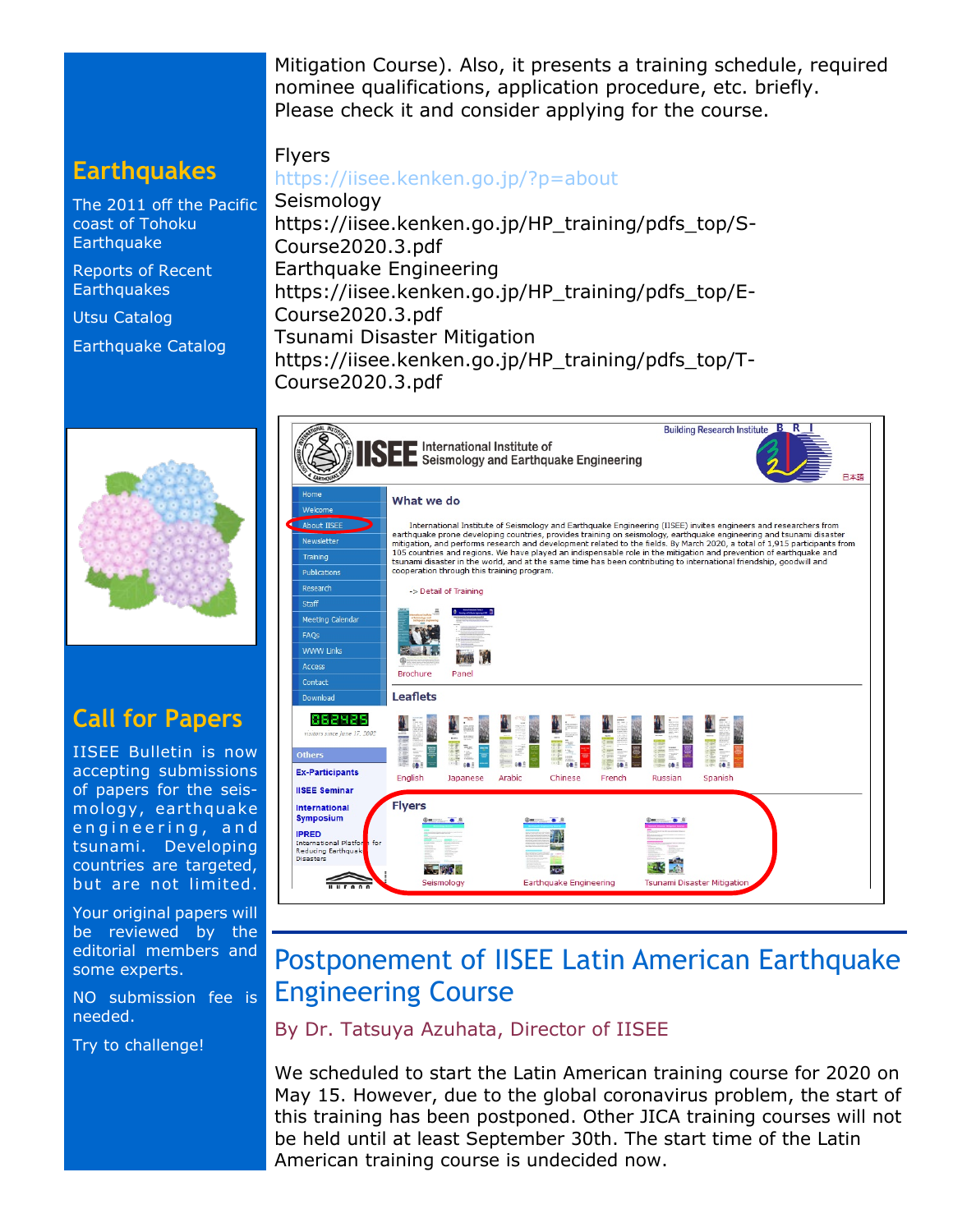Mitigation Course). Also, it presents a training schedule, required nominee qualifications, application procedure, etc. briefly. Please check it and consider applying for the course.

#### **Earthquakes**

[The 2011 off the Pacific](http://iisee/special2/20110311tohoku.htm)  [coast of Tohoku](http://iisee/special2/20110311tohoku.htm)  **[Earthquake](http://iisee/special2/20110311tohoku.htm)** 

[Reports of Recent](http://iisee/quakes.htm)  **[Earthquakes](http://iisee/quakes.htm)** 

[Utsu Catalog](http://iisee/utsu/index_eng.html)

[Earthquake Catalog](http://iisee/eqcat/Top_page_en.htm)



# **Call for Papers**

IISEE Bulletin is now accepting submissions of papers for the seismology, earthquake engineering, and tsunami. Developing countries are targeted, but are not limited.

Your original papers will be reviewed by the editorial members and some experts.

NO submission fee is needed.

Try to challenge!

Flyers <https://iisee.kenken.go.jp/?p=about>

Seismology https://iisee.kenken.go.jp/HP\_training/pdfs\_top/S-Course2020.3.pdf Earthquake Engineering https://iisee.kenken.go.jp/HP\_training/pdfs\_top/E-Course2020.3.pdf Tsunami Disaster Mitigation [https://iisee.kenken.go.jp/HP\\_training/pdfs\\_top/T-](https://iisee.kenken.go.jp/HP_training/pdfs_top/T-Course2020.3.pdf)[Course2020.3.pdf](https://iisee.kenken.go.jp/HP_training/pdfs_top/T-Course2020.3.pdf)



# Postponement of IISEE Latin American Earthquake Engineering Course

By Dr. Tatsuya Azuhata, Director of IISEE

We scheduled to start the Latin American training course for 2020 on May 15. However, due to the global coronavirus problem, the start of this training has been postponed. Other JICA training courses will not be held until at least September 30th. The start time of the Latin American training course is undecided now.